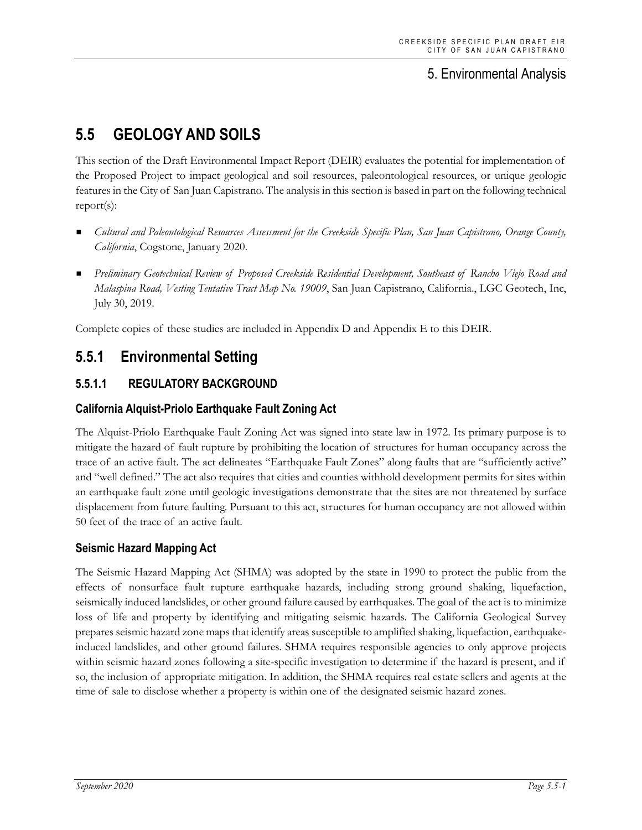# 5. Environmental Analysis

# **5.5 GEOLOGY AND SOILS**

This section of the Draft Environmental Impact Report (DEIR) evaluates the potential for implementation of the Proposed Project to impact geological and soil resources, paleontological resources, or unique geologic features in the City of San Juan Capistrano. The analysis in this section is based in part on the following technical report(s):

- *Cultural and Paleontological Resources Assessment for the Creekside Specific Plan, San Juan Capistrano, Orange County, California*, Cogstone, January 2020.
- *Preliminary Geotechnical Review of Proposed Creekside Residential Development, Southeast of Rancho Viejo Road and Malaspina Road, Vesting Tentative Tract Map No. 19009*, San Juan Capistrano, California., LGC Geotech, Inc, July 30, 2019.

Complete copies of these studies are included in Appendix D and Appendix E to this DEIR.

# **5.5.1 Environmental Setting**

## **5.5.1.1 REGULATORY BACKGROUND**

### **California Alquist-Priolo Earthquake Fault Zoning Act**

The Alquist-Priolo Earthquake Fault Zoning Act was signed into state law in 1972. Its primary purpose is to mitigate the hazard of fault rupture by prohibiting the location of structures for human occupancy across the trace of an active fault. The act delineates "Earthquake Fault Zones" along faults that are "sufficiently active" and "well defined." The act also requires that cities and counties withhold development permits for sites within an earthquake fault zone until geologic investigations demonstrate that the sites are not threatened by surface displacement from future faulting. Pursuant to this act, structures for human occupancy are not allowed within 50 feet of the trace of an active fault.

### **Seismic Hazard Mapping Act**

The Seismic Hazard Mapping Act (SHMA) was adopted by the state in 1990 to protect the public from the effects of nonsurface fault rupture earthquake hazards, including strong ground shaking, liquefaction, seismically induced landslides, or other ground failure caused by earthquakes. The goal of the act is to minimize loss of life and property by identifying and mitigating seismic hazards. The California Geological Survey prepares seismic hazard zone maps that identify areas susceptible to amplified shaking, liquefaction, earthquakeinduced landslides, and other ground failures. SHMA requires responsible agencies to only approve projects within seismic hazard zones following a site-specific investigation to determine if the hazard is present, and if so, the inclusion of appropriate mitigation. In addition, the SHMA requires real estate sellers and agents at the time of sale to disclose whether a property is within one of the designated seismic hazard zones.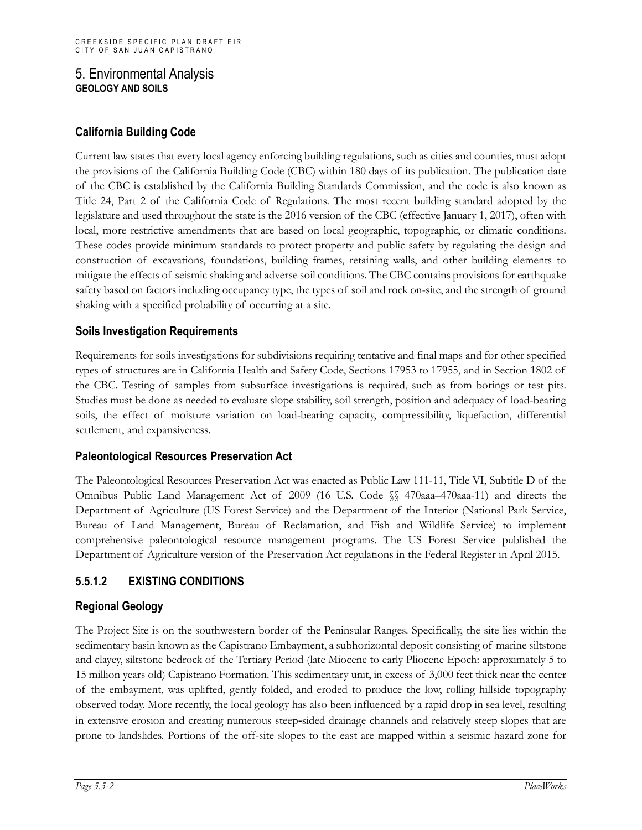## **California Building Code**

Current law states that every local agency enforcing building regulations, such as cities and counties, must adopt the provisions of the California Building Code (CBC) within 180 days of its publication. The publication date of the CBC is established by the California Building Standards Commission, and the code is also known as Title 24, Part 2 of the California Code of Regulations. The most recent building standard adopted by the legislature and used throughout the state is the 2016 version of the CBC (effective January 1, 2017), often with local, more restrictive amendments that are based on local geographic, topographic, or climatic conditions. These codes provide minimum standards to protect property and public safety by regulating the design and construction of excavations, foundations, building frames, retaining walls, and other building elements to mitigate the effects of seismic shaking and adverse soil conditions. The CBC contains provisions for earthquake safety based on factors including occupancy type, the types of soil and rock on-site, and the strength of ground shaking with a specified probability of occurring at a site.

### **Soils Investigation Requirements**

Requirements for soils investigations for subdivisions requiring tentative and final maps and for other specified types of structures are in California Health and Safety Code, Sections 17953 to 17955, and in Section 1802 of the CBC. Testing of samples from subsurface investigations is required, such as from borings or test pits. Studies must be done as needed to evaluate slope stability, soil strength, position and adequacy of load-bearing soils, the effect of moisture variation on load-bearing capacity, compressibility, liquefaction, differential settlement, and expansiveness.

#### **Paleontological Resources Preservation Act**

The Paleontological Resources Preservation Act was enacted as Public Law 111-11, Title VI, Subtitle D of the Omnibus Public Land Management Act of 2009 (16 U.S. Code §§ 470aaa–470aaa-11) and directs the Department of Agriculture (US Forest Service) and the Department of the Interior (National Park Service, Bureau of Land Management, Bureau of Reclamation, and Fish and Wildlife Service) to implement comprehensive paleontological resource management programs. The US Forest Service published the Department of Agriculture version of the Preservation Act regulations in the Federal Register in April 2015.

## **5.5.1.2 EXISTING CONDITIONS**

### **Regional Geology**

The Project Site is on the southwestern border of the Peninsular Ranges. Specifically, the site lies within the sedimentary basin known as the Capistrano Embayment, a subhorizontal deposit consisting of marine siltstone and clayey, siltstone bedrock of the Tertiary Period (late Miocene to early Pliocene Epoch: approximately 5 to 15 million years old) Capistrano Formation. This sedimentary unit, in excess of 3,000 feet thick near the center of the embayment, was uplifted, gently folded, and eroded to produce the low, rolling hillside topography observed today. More recently, the local geology has also been influenced by a rapid drop in sea level, resulting in extensive erosion and creating numerous steep‐sided drainage channels and relatively steep slopes that are prone to landslides. Portions of the off-site slopes to the east are mapped within a seismic hazard zone for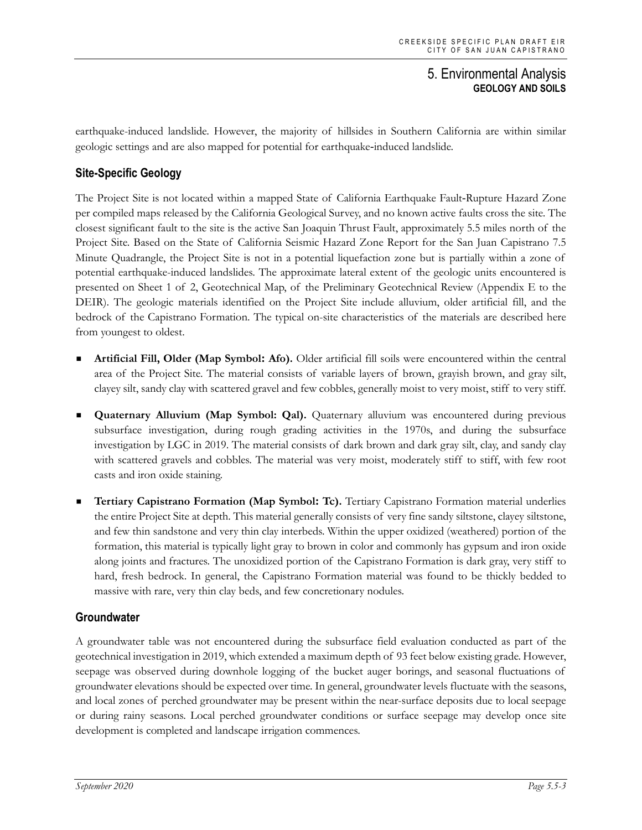earthquake-induced landslide. However, the majority of hillsides in Southern California are within similar geologic settings and are also mapped for potential for earthquake‐induced landslide.

## **Site-Specific Geology**

The Project Site is not located within a mapped State of California Earthquake Fault‐Rupture Hazard Zone per compiled maps released by the California Geological Survey, and no known active faults cross the site. The closest significant fault to the site is the active San Joaquin Thrust Fault, approximately 5.5 miles north of the Project Site. Based on the State of California Seismic Hazard Zone Report for the San Juan Capistrano 7.5 Minute Quadrangle, the Project Site is not in a potential liquefaction zone but is partially within a zone of potential earthquake-induced landslides. The approximate lateral extent of the geologic units encountered is presented on Sheet 1 of 2, Geotechnical Map, of the Preliminary Geotechnical Review (Appendix E to the DEIR). The geologic materials identified on the Project Site include alluvium, older artificial fill, and the bedrock of the Capistrano Formation. The typical on-site characteristics of the materials are described here from youngest to oldest.

- **Artificial Fill, Older (Map Symbol: Afo).** Older artificial fill soils were encountered within the central area of the Project Site. The material consists of variable layers of brown, grayish brown, and gray silt, clayey silt, sandy clay with scattered gravel and few cobbles, generally moist to very moist, stiff to very stiff.
- **Quaternary Alluvium (Map Symbol: Qal).** Quaternary alluvium was encountered during previous subsurface investigation, during rough grading activities in the 1970s, and during the subsurface investigation by LGC in 2019. The material consists of dark brown and dark gray silt, clay, and sandy clay with scattered gravels and cobbles. The material was very moist, moderately stiff to stiff, with few root casts and iron oxide staining.
- **Tertiary Capistrano Formation (Map Symbol: Tc).** Tertiary Capistrano Formation material underlies the entire Project Site at depth. This material generally consists of very fine sandy siltstone, clayey siltstone, and few thin sandstone and very thin clay interbeds. Within the upper oxidized (weathered) portion of the formation, this material is typically light gray to brown in color and commonly has gypsum and iron oxide along joints and fractures. The unoxidized portion of the Capistrano Formation is dark gray, very stiff to hard, fresh bedrock. In general, the Capistrano Formation material was found to be thickly bedded to massive with rare, very thin clay beds, and few concretionary nodules.

### **Groundwater**

A groundwater table was not encountered during the subsurface field evaluation conducted as part of the geotechnical investigation in 2019, which extended a maximum depth of 93 feet below existing grade. However, seepage was observed during downhole logging of the bucket auger borings, and seasonal fluctuations of groundwater elevations should be expected over time. In general, groundwater levels fluctuate with the seasons, and local zones of perched groundwater may be present within the near-surface deposits due to local seepage or during rainy seasons. Local perched groundwater conditions or surface seepage may develop once site development is completed and landscape irrigation commences.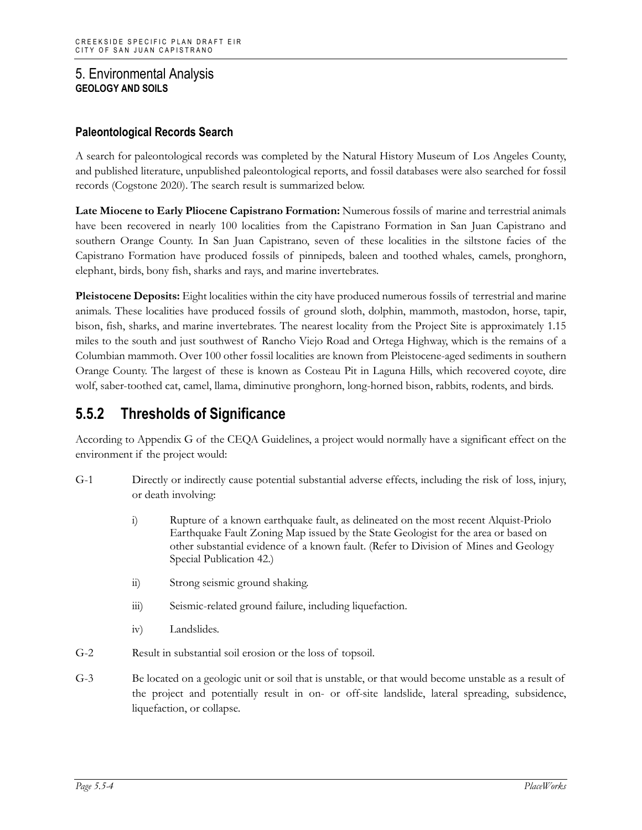### **Paleontological Records Search**

A search for paleontological records was completed by the Natural History Museum of Los Angeles County, and published literature, unpublished paleontological reports, and fossil databases were also searched for fossil records (Cogstone 2020). The search result is summarized below.

**Late Miocene to Early Pliocene Capistrano Formation:** Numerous fossils of marine and terrestrial animals have been recovered in nearly 100 localities from the Capistrano Formation in San Juan Capistrano and southern Orange County. In San Juan Capistrano, seven of these localities in the siltstone facies of the Capistrano Formation have produced fossils of pinnipeds, baleen and toothed whales, camels, pronghorn, elephant, birds, bony fish, sharks and rays, and marine invertebrates.

**Pleistocene Deposits:** Eight localities within the city have produced numerous fossils of terrestrial and marine animals. These localities have produced fossils of ground sloth, dolphin, mammoth, mastodon, horse, tapir, bison, fish, sharks, and marine invertebrates. The nearest locality from the Project Site is approximately 1.15 miles to the south and just southwest of Rancho Viejo Road and Ortega Highway, which is the remains of a Columbian mammoth. Over 100 other fossil localities are known from Pleistocene-aged sediments in southern Orange County. The largest of these is known as Costeau Pit in Laguna Hills, which recovered coyote, dire wolf, saber-toothed cat, camel, llama, diminutive pronghorn, long-horned bison, rabbits, rodents, and birds.

# **5.5.2 Thresholds of Significance**

According to Appendix G of the CEQA Guidelines, a project would normally have a significant effect on the environment if the project would:

- G-1 Directly or indirectly cause potential substantial adverse effects, including the risk of loss, injury, or death involving:
	- i) Rupture of a known earthquake fault, as delineated on the most recent Alquist-Priolo Earthquake Fault Zoning Map issued by the State Geologist for the area or based on other substantial evidence of a known fault. (Refer to Division of Mines and Geology Special Publication 42.)
	- ii) Strong seismic ground shaking.
	- iii) Seismic-related ground failure, including liquefaction.
	- iv) Landslides.
- G-2 Result in substantial soil erosion or the loss of topsoil.
- G-3 Be located on a geologic unit or soil that is unstable, or that would become unstable as a result of the project and potentially result in on- or off-site landslide, lateral spreading, subsidence, liquefaction, or collapse.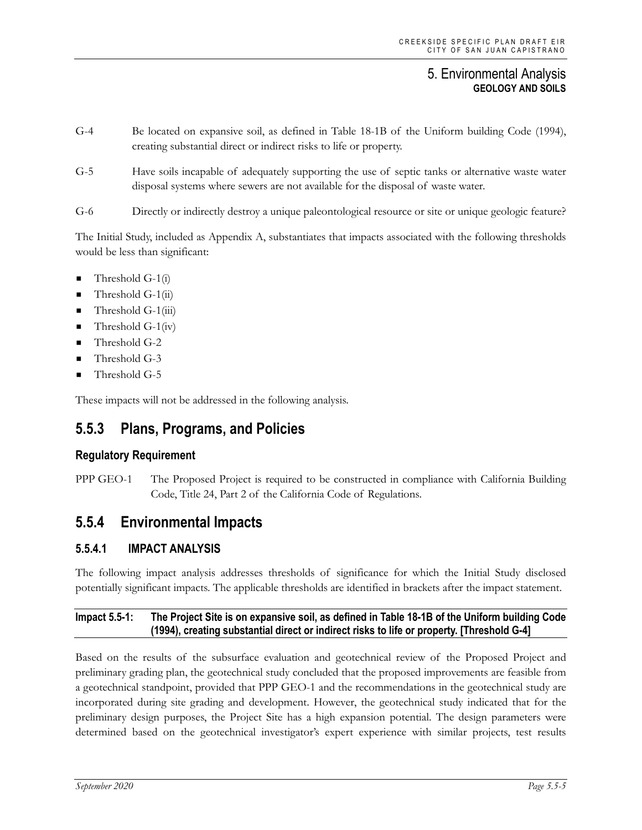- G-4 Be located on expansive soil, as defined in Table 18-1B of the Uniform building Code (1994), creating substantial direct or indirect risks to life or property.
- G-5 Have soils incapable of adequately supporting the use of septic tanks or alternative waste water disposal systems where sewers are not available for the disposal of waste water.
- G-6 Directly or indirectly destroy a unique paleontological resource or site or unique geologic feature?

The Initial Study, included as Appendix A, substantiates that impacts associated with the following thresholds would be less than significant:

- $\blacksquare$  Threshold G-1(i)
- $\blacksquare$  Threshold G-1(ii)
- $\blacksquare$  Threshold G-1(iii)
- Threshold G-1(iv)
- Threshold G-2
- Threshold G-3
- Threshold G-5

These impacts will not be addressed in the following analysis.

# **5.5.3 Plans, Programs, and Policies**

#### **Regulatory Requirement**

PPP GEO-1 The Proposed Project is required to be constructed in compliance with California Building Code, Title 24, Part 2 of the California Code of Regulations.

# **5.5.4 Environmental Impacts**

### **5.5.4.1 IMPACT ANALYSIS**

The following impact analysis addresses thresholds of significance for which the Initial Study disclosed potentially significant impacts. The applicable thresholds are identified in brackets after the impact statement.

#### **Impact 5.5-1: The Project Site is on expansive soil, as defined in Table 18-1B of the Uniform building Code (1994), creating substantial direct or indirect risks to life or property. [Threshold G-4]**

Based on the results of the subsurface evaluation and geotechnical review of the Proposed Project and preliminary grading plan, the geotechnical study concluded that the proposed improvements are feasible from a geotechnical standpoint, provided that PPP GEO-1 and the recommendations in the geotechnical study are incorporated during site grading and development. However, the geotechnical study indicated that for the preliminary design purposes, the Project Site has a high expansion potential. The design parameters were determined based on the geotechnical investigator's expert experience with similar projects, test results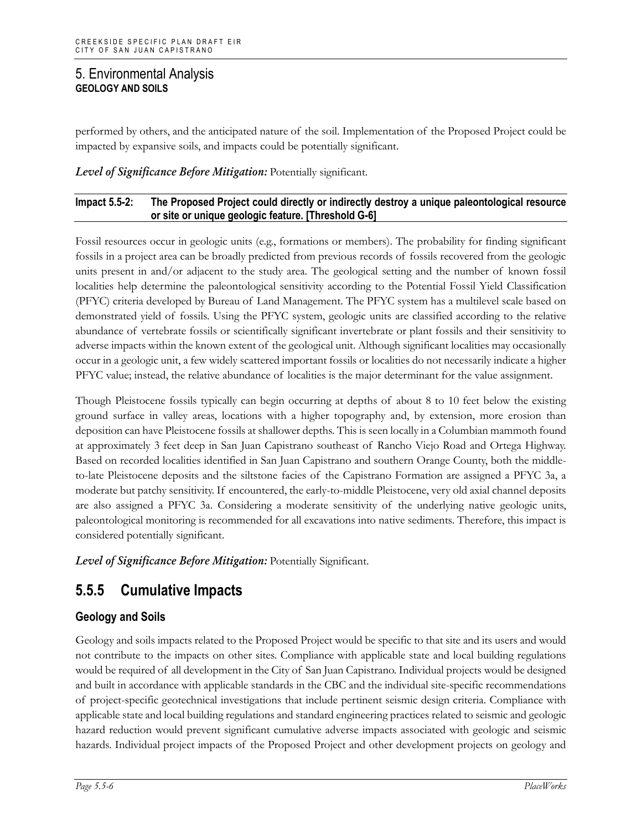performed by others, and the anticipated nature of the soil. Implementation of the Proposed Project could be impacted by expansive soils, and impacts could be potentially significant.

#### *Level of Significance Before Mitigation:* Potentially significant.

#### **Impact 5.5-2: The Proposed Project could directly or indirectly destroy a unique paleontological resource or site or unique geologic feature. [Threshold G-6]**

Fossil resources occur in geologic units (e.g., formations or members). The probability for finding significant fossils in a project area can be broadly predicted from previous records of fossils recovered from the geologic units present in and/or adjacent to the study area. The geological setting and the number of known fossil localities help determine the paleontological sensitivity according to the Potential Fossil Yield Classification (PFYC) criteria developed by Bureau of Land Management. The PFYC system has a multilevel scale based on demonstrated yield of fossils. Using the PFYC system, geologic units are classified according to the relative abundance of vertebrate fossils or scientifically significant invertebrate or plant fossils and their sensitivity to adverse impacts within the known extent of the geological unit. Although significant localities may occasionally occur in a geologic unit, a few widely scattered important fossils or localities do not necessarily indicate a higher PFYC value; instead, the relative abundance of localities is the major determinant for the value assignment.

Though Pleistocene fossils typically can begin occurring at depths of about 8 to 10 feet below the existing ground surface in valley areas, locations with a higher topography and, by extension, more erosion than deposition can have Pleistocene fossils at shallower depths. This is seen locally in a Columbian mammoth found at approximately 3 feet deep in San Juan Capistrano southeast of Rancho Viejo Road and Ortega Highway. Based on recorded localities identified in San Juan Capistrano and southern Orange County, both the middleto-late Pleistocene deposits and the siltstone facies of the Capistrano Formation are assigned a PFYC 3a, a moderate but patchy sensitivity. If encountered, the early-to-middle Pleistocene, very old axial channel deposits are also assigned a PFYC 3a. Considering a moderate sensitivity of the underlying native geologic units, paleontological monitoring is recommended for all excavations into native sediments. Therefore, this impact is considered potentially significant.

*Level of Significance Before Mitigation:* Potentially Significant.

# **5.5.5 Cumulative Impacts**

### **Geology and Soils**

Geology and soils impacts related to the Proposed Project would be specific to that site and its users and would not contribute to the impacts on other sites. Compliance with applicable state and local building regulations would be required of all development in the City of San Juan Capistrano. Individual projects would be designed and built in accordance with applicable standards in the CBC and the individual site-specific recommendations of project-specific geotechnical investigations that include pertinent seismic design criteria. Compliance with applicable state and local building regulations and standard engineering practices related to seismic and geologic hazard reduction would prevent significant cumulative adverse impacts associated with geologic and seismic hazards. Individual project impacts of the Proposed Project and other development projects on geology and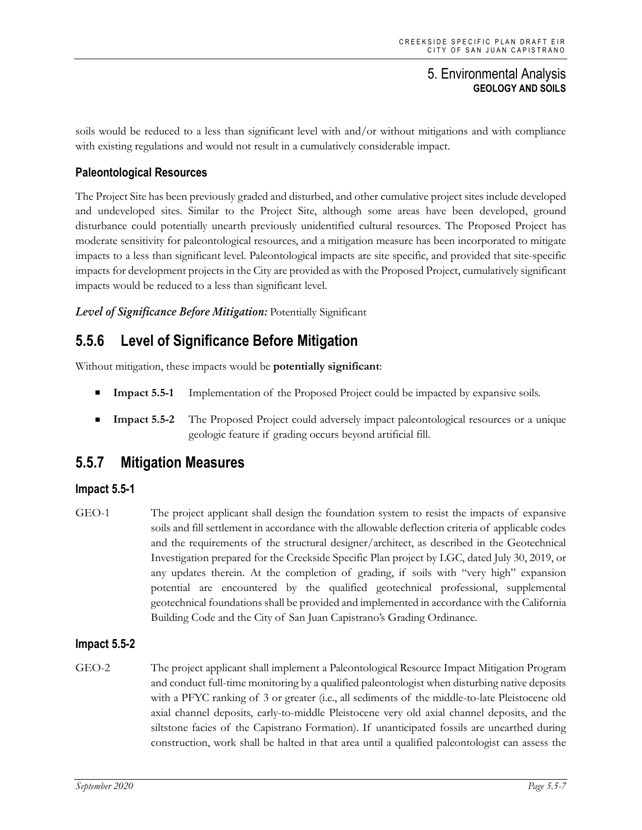soils would be reduced to a less than significant level with and/or without mitigations and with compliance with existing regulations and would not result in a cumulatively considerable impact.

### **Paleontological Resources**

The Project Site has been previously graded and disturbed, and other cumulative project sites include developed and undeveloped sites. Similar to the Project Site, although some areas have been developed, ground disturbance could potentially unearth previously unidentified cultural resources. The Proposed Project has moderate sensitivity for paleontological resources, and a mitigation measure has been incorporated to mitigate impacts to a less than significant level. Paleontological impacts are site specific, and provided that site-specific impacts for development projects in the City are provided as with the Proposed Project, cumulatively significant impacts would be reduced to a less than significant level.

*Level of Significance Before Mitigation:* Potentially Significant

# **5.5.6 Level of Significance Before Mitigation**

Without mitigation, these impacts would be **potentially significant**:

- **Impact 5.5-1** Implementation of the Proposed Project could be impacted by expansive soils.
- **Impact 5.5-2** The Proposed Project could adversely impact paleontological resources or a unique geologic feature if grading occurs beyond artificial fill.

# **5.5.7 Mitigation Measures**

### **Impact 5.5-1**

GEO-1 The project applicant shall design the foundation system to resist the impacts of expansive soils and fill settlement in accordance with the allowable deflection criteria of applicable codes and the requirements of the structural designer/architect, as described in the Geotechnical Investigation prepared for the Creekside Specific Plan project by LGC, dated July 30, 2019, or any updates therein. At the completion of grading, if soils with "very high" expansion potential are encountered by the qualified geotechnical professional, supplemental geotechnical foundations shall be provided and implemented in accordance with the California Building Code and the City of San Juan Capistrano's Grading Ordinance.

### **Impact 5.5-2**

GEO-2 The project applicant shall implement a Paleontological Resource Impact Mitigation Program and conduct full-time monitoring by a qualified paleontologist when disturbing native deposits with a PFYC ranking of 3 or greater (i.e., all sediments of the middle-to-late Pleistocene old axial channel deposits, early-to-middle Pleistocene very old axial channel deposits, and the siltstone facies of the Capistrano Formation). If unanticipated fossils are unearthed during construction, work shall be halted in that area until a qualified paleontologist can assess the